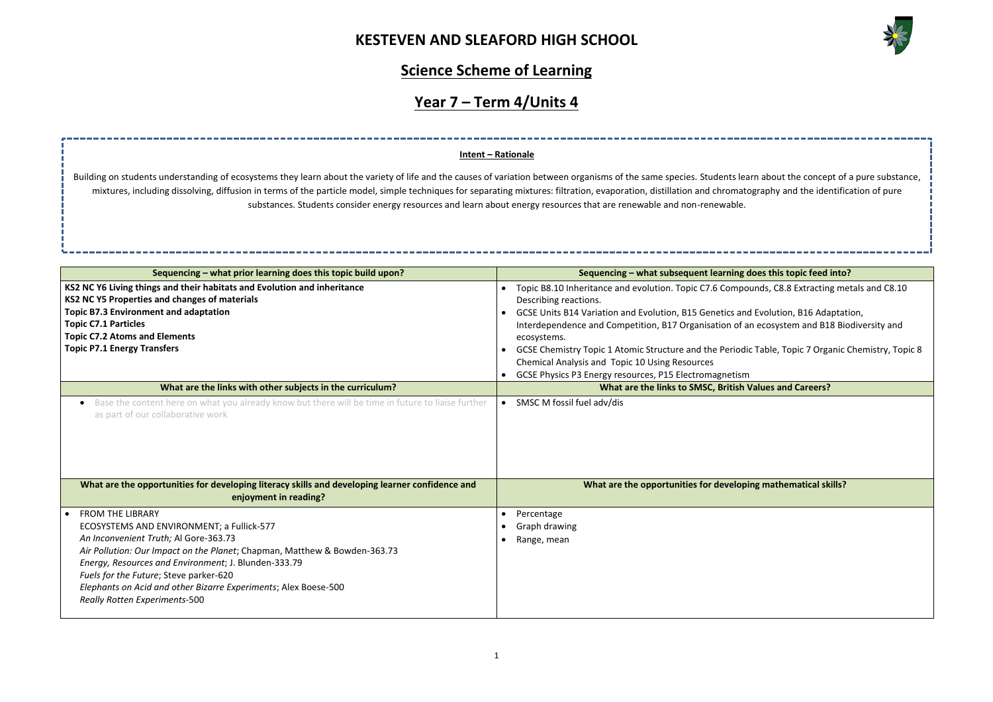

| rn about the concept of a pure substance,<br>graphy and the identification of pure |
|------------------------------------------------------------------------------------|
|                                                                                    |
| oes this topic feed into?                                                          |
| unds, C8.8 Extracting metals and C8.10                                             |
| Evolution, B16 Adaptation,<br>ecosystem and B18 Biodiversity and                   |
| Table, Topic 7 Organic Chemistry, Topic 8                                          |
| 'alues and Careers?                                                                |
|                                                                                    |
|                                                                                    |
|                                                                                    |
| ng mathematical skills?                                                            |
|                                                                                    |
|                                                                                    |
|                                                                                    |
|                                                                                    |
|                                                                                    |

# **Science Scheme of Learning**

# **Year 7 – Term 4/Units 4**

| Sequencing – what prior learning does this topic build upon?                                                                                                                                                                                                                                                                                                                                            | Sequencing – what subsequent learning does this topic feed into?                                                                                                                                                                                                                                                                                                                                                                                                                                                                                                                                                                  |
|---------------------------------------------------------------------------------------------------------------------------------------------------------------------------------------------------------------------------------------------------------------------------------------------------------------------------------------------------------------------------------------------------------|-----------------------------------------------------------------------------------------------------------------------------------------------------------------------------------------------------------------------------------------------------------------------------------------------------------------------------------------------------------------------------------------------------------------------------------------------------------------------------------------------------------------------------------------------------------------------------------------------------------------------------------|
| KS2 NC Y6 Living things and their habitats and Evolution and inheritance<br>KS2 NC Y5 Properties and changes of materials<br><b>Topic B7.3 Environment and adaptation</b><br><b>Topic C7.1 Particles</b><br><b>Topic C7.2 Atoms and Elements</b><br><b>Topic P7.1 Energy Transfers</b><br>What are the links with other subjects in the curriculum?                                                     | Topic B8.10 Inheritance and evolution. Topic C7.6 Compounds, C8.8 Extracting metals and C8.10<br>Describing reactions.<br>GCSE Units B14 Variation and Evolution, B15 Genetics and Evolution, B16 Adaptation,<br>$\bullet$<br>Interdependence and Competition, B17 Organisation of an ecosystem and B18 Biodiversity and<br>ecosystems.<br>GCSE Chemistry Topic 1 Atomic Structure and the Periodic Table, Topic 7 Organic Chemistry, Topic 8<br>$\bullet$<br>Chemical Analysis and Topic 10 Using Resources<br>GCSE Physics P3 Energy resources, P15 Electromagnetism<br>What are the links to SMSC, British Values and Careers? |
| Base the content here on what you already know but there will be time in future to liaise further<br>as part of our collaborative work                                                                                                                                                                                                                                                                  | • SMSC M fossil fuel adv/dis                                                                                                                                                                                                                                                                                                                                                                                                                                                                                                                                                                                                      |
| What are the opportunities for developing literacy skills and developing learner confidence and<br>enjoyment in reading?                                                                                                                                                                                                                                                                                | What are the opportunities for developing mathematical skills?                                                                                                                                                                                                                                                                                                                                                                                                                                                                                                                                                                    |
| <b>FROM THE LIBRARY</b><br>ECOSYSTEMS AND ENVIRONMENT; a Fullick-577<br>An Inconvenient Truth; Al Gore-363.73<br>Air Pollution: Our Impact on the Planet; Chapman, Matthew & Bowden-363.73<br>Energy, Resources and Environment; J. Blunden-333.79<br>Fuels for the Future; Steve parker-620<br>Elephants on Acid and other Bizarre Experiments; Alex Boese-500<br><b>Really Rotten Experiments-500</b> | Percentage<br>$\bullet$<br>Graph drawing<br>Range, mean                                                                                                                                                                                                                                                                                                                                                                                                                                                                                                                                                                           |

Building on students understanding of ecosystems they learn about the variety of life and the causes of variation between organisms of the same species. Students lear mixtures, including dissolving, diffusion in terms of the particle model, simple techniques for separating mixtures: filtration, evaporation, distillation and chromatog substances. Students consider energy resources and learn about energy resources that are renewable and non-renewable.

### **Intent – Rationale**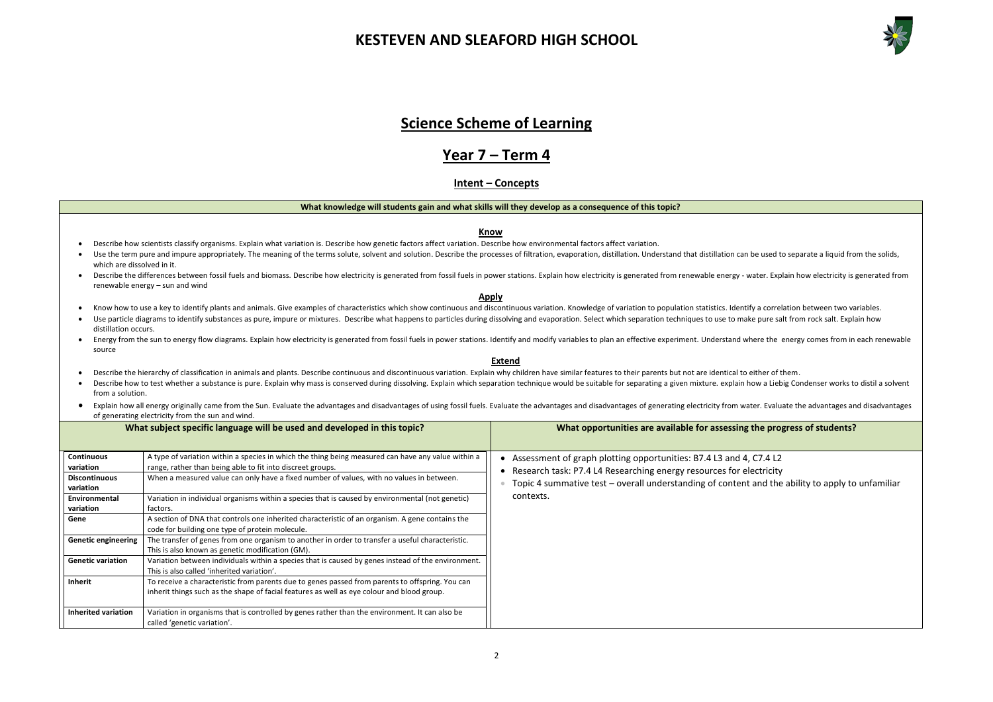

### **Science Scheme of Learning**

### **Year 7 – Term 4**

### **Intent – Concepts**

#### **What knowledge will students gain and what skills will they develop as a consequence of this topic?**

#### **Know**

- Describe how scientists classify organisms. Explain what variation is. Describe how genetic factors affect variation. Describe how environmental factors affect variation.
- Use the term pure and impure appropriately. The meaning of the terms solute, solvent and solution. Describe the processes of filtration, evaporation, distillation. Understand that distillation can be used to separate a liq which are dissolved in it.
- Describe the differences between fossil fuels and biomass. Describe how electricity is generated from fossil fuels in power stations. Explain how electricity is generated from renewable energy water. Explain how electr renewable energy – sun and wind

- Know how to use a key to identify plants and animals. Give examples of characteristics which show continuous and discontinuous variation. Knowledge of variation to population statistics. Identify a correlation between two
- Use particle diagrams to identify substances as pure, impure or mixtures. Describe what happens to particles during dissolving and evaporation. Select which separation techniques to use to make pure salt from rock salt. Ex distillation occurs.
- Energy from the sun to energy flow diagrams. Explain how electricity is generated from fossil fuels in power stations. Identify and modify variables to plan an effective experiment. Understand where the energy comes from source

#### **Apply**

- Describe the hierarchy of classification in animals and plants. Describe continuous and discontinuous variation. Explain why children have similar features to their parents but not are identical to either of them.
- Describe how to test whether a substance is pure. Explain why mass is conserved during dissolving. Explain which separation technique would be suitable for separating a given mixture. explain how a Liebig Condenser works t from a solution.
- Explain how all energy originally came from the Sun. Evaluate the advantages and disadvantages of using fossil fuels. Evaluate the advantages and disadvantages of generating electricity from water. Evaluate the advantage of generating electricity from the sun and wind.

#### **Extend**



|                                   | What subject specific language will be used and developed in this topic?                                                                                                                      | What opportunities are available for assessing the pro                                                                                    |
|-----------------------------------|-----------------------------------------------------------------------------------------------------------------------------------------------------------------------------------------------|-------------------------------------------------------------------------------------------------------------------------------------------|
| <b>Continuous</b><br>variation    | A type of variation within a species in which the thing being measured can have any value within a<br>range, rather than being able to fit into discreet groups.                              | Assessment of graph plotting opportunities: B7.4 L3 and 4, C7.4 L2<br>Research task: P7.4 L4 Researching energy resources for electricity |
| <b>Discontinuous</b><br>variation | When a measured value can only have a fixed number of values, with no values in between.                                                                                                      | Topic 4 summative test - overall understanding of content and the                                                                         |
| Environmental<br>variation        | Variation in individual organisms within a species that is caused by environmental (not genetic)<br>factors.                                                                                  | contexts.                                                                                                                                 |
| Gene                              | A section of DNA that controls one inherited characteristic of an organism. A gene contains the<br>code for building one type of protein molecule.                                            |                                                                                                                                           |
| <b>Genetic engineering</b>        | The transfer of genes from one organism to another in order to transfer a useful characteristic.<br>This is also known as genetic modification (GM).                                          |                                                                                                                                           |
| <b>Genetic variation</b>          | Variation between individuals within a species that is caused by genes instead of the environment.<br>This is also called 'inherited variation'.                                              |                                                                                                                                           |
| <b>Inherit</b>                    | To receive a characteristic from parents due to genes passed from parents to offspring. You can<br>inherit things such as the shape of facial features as well as eye colour and blood group. |                                                                                                                                           |
| <b>Inherited variation</b>        | Variation in organisms that is controlled by genes rather than the environment. It can also be<br>called 'genetic variation'.                                                                 |                                                                                                                                           |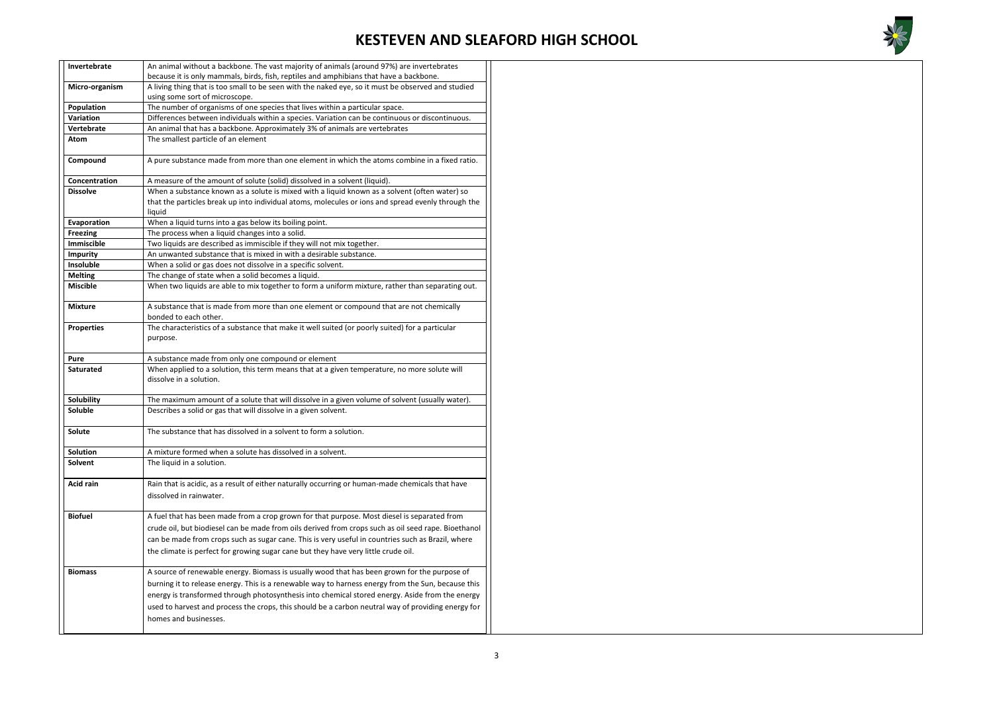

| Invertebrate      | An animal without a backbone. The vast majority of animals (around 97%) are invertebrates                                                                                                                                                                                                                                                                                                                                            |  |  |
|-------------------|--------------------------------------------------------------------------------------------------------------------------------------------------------------------------------------------------------------------------------------------------------------------------------------------------------------------------------------------------------------------------------------------------------------------------------------|--|--|
|                   | because it is only mammals, birds, fish, reptiles and amphibians that have a backbone.                                                                                                                                                                                                                                                                                                                                               |  |  |
| Micro-organism    | A living thing that is too small to be seen with the naked eye, so it must be observed and studied                                                                                                                                                                                                                                                                                                                                   |  |  |
|                   | using some sort of microscope.                                                                                                                                                                                                                                                                                                                                                                                                       |  |  |
| Population        | The number of organisms of one species that lives within a particular space.                                                                                                                                                                                                                                                                                                                                                         |  |  |
| <b>Variation</b>  | Differences between individuals within a species. Variation can be continuous or discontinuous.                                                                                                                                                                                                                                                                                                                                      |  |  |
| Vertebrate        | An animal that has a backbone. Approximately 3% of animals are vertebrates                                                                                                                                                                                                                                                                                                                                                           |  |  |
| Atom              | The smallest particle of an element                                                                                                                                                                                                                                                                                                                                                                                                  |  |  |
| Compound          | A pure substance made from more than one element in which the atoms combine in a fixed ratio.                                                                                                                                                                                                                                                                                                                                        |  |  |
| Concentration     | A measure of the amount of solute (solid) dissolved in a solvent (liquid).                                                                                                                                                                                                                                                                                                                                                           |  |  |
| <b>Dissolve</b>   | When a substance known as a solute is mixed with a liquid known as a solvent (often water) so                                                                                                                                                                                                                                                                                                                                        |  |  |
|                   | that the particles break up into individual atoms, molecules or ions and spread evenly through the<br>liquid                                                                                                                                                                                                                                                                                                                         |  |  |
| Evaporation       | When a liquid turns into a gas below its boiling point.                                                                                                                                                                                                                                                                                                                                                                              |  |  |
| <b>Freezing</b>   | The process when a liquid changes into a solid.                                                                                                                                                                                                                                                                                                                                                                                      |  |  |
| Immiscible        | Two liquids are described as immiscible if they will not mix together.                                                                                                                                                                                                                                                                                                                                                               |  |  |
| <b>Impurity</b>   | An unwanted substance that is mixed in with a desirable substance.                                                                                                                                                                                                                                                                                                                                                                   |  |  |
| Insoluble         | When a solid or gas does not dissolve in a specific solvent.                                                                                                                                                                                                                                                                                                                                                                         |  |  |
| <b>Melting</b>    | The change of state when a solid becomes a liquid.                                                                                                                                                                                                                                                                                                                                                                                   |  |  |
| <b>Miscible</b>   | When two liquids are able to mix together to form a uniform mixture, rather than separating out.                                                                                                                                                                                                                                                                                                                                     |  |  |
| <b>Mixture</b>    | A substance that is made from more than one element or compound that are not chemically                                                                                                                                                                                                                                                                                                                                              |  |  |
|                   | bonded to each other.                                                                                                                                                                                                                                                                                                                                                                                                                |  |  |
| <b>Properties</b> | The characteristics of a substance that make it well suited (or poorly suited) for a particular<br>purpose.                                                                                                                                                                                                                                                                                                                          |  |  |
| Pure              | A substance made from only one compound or element                                                                                                                                                                                                                                                                                                                                                                                   |  |  |
| <b>Saturated</b>  | When applied to a solution, this term means that at a given temperature, no more solute will                                                                                                                                                                                                                                                                                                                                         |  |  |
|                   | dissolve in a solution.                                                                                                                                                                                                                                                                                                                                                                                                              |  |  |
| Solubility        | The maximum amount of a solute that will dissolve in a given volume of solvent (usually water).                                                                                                                                                                                                                                                                                                                                      |  |  |
| Soluble           | Describes a solid or gas that will dissolve in a given solvent.                                                                                                                                                                                                                                                                                                                                                                      |  |  |
| Solute            | The substance that has dissolved in a solvent to form a solution.                                                                                                                                                                                                                                                                                                                                                                    |  |  |
| Solution          | A mixture formed when a solute has dissolved in a solvent.                                                                                                                                                                                                                                                                                                                                                                           |  |  |
| Solvent           | The liquid in a solution.                                                                                                                                                                                                                                                                                                                                                                                                            |  |  |
| <b>Acid rain</b>  | Rain that is acidic, as a result of either naturally occurring or human-made chemicals that have<br>dissolved in rainwater.                                                                                                                                                                                                                                                                                                          |  |  |
| <b>Biofuel</b>    | A fuel that has been made from a crop grown for that purpose. Most diesel is separated from<br>crude oil, but biodiesel can be made from oils derived from crops such as oil seed rape. Bioethanol<br>can be made from crops such as sugar cane. This is very useful in countries such as Brazil, where<br>the climate is perfect for growing sugar cane but they have very little crude oil.                                        |  |  |
| <b>Biomass</b>    | A source of renewable energy. Biomass is usually wood that has been grown for the purpose of<br>burning it to release energy. This is a renewable way to harness energy from the Sun, because this<br>energy is transformed through photosynthesis into chemical stored energy. Aside from the energy<br>used to harvest and process the crops, this should be a carbon neutral way of providing energy for<br>homes and businesses. |  |  |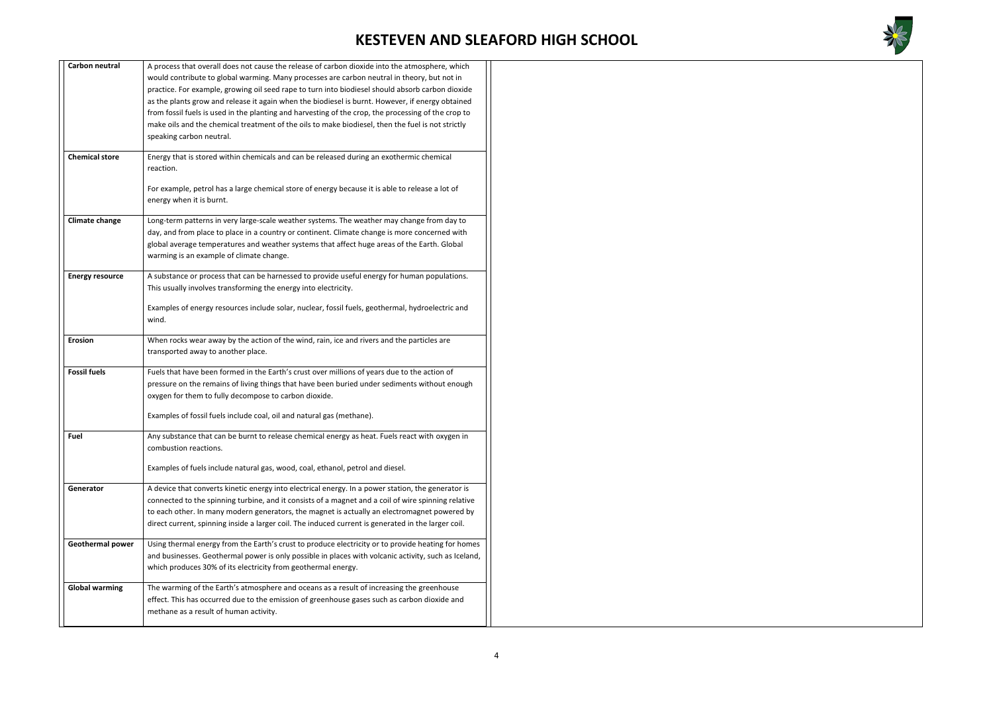

| Carbon neutral         | A process that overall does not cause the release of carbon dioxide into the atmosphere, which       |
|------------------------|------------------------------------------------------------------------------------------------------|
|                        | would contribute to global warming. Many processes are carbon neutral in theory, but not in          |
|                        | practice. For example, growing oil seed rape to turn into biodiesel should absorb carbon dioxide     |
|                        | as the plants grow and release it again when the biodiesel is burnt. However, if energy obtained     |
|                        | from fossil fuels is used in the planting and harvesting of the crop, the processing of the crop to  |
|                        | make oils and the chemical treatment of the oils to make biodiesel, then the fuel is not strictly    |
|                        |                                                                                                      |
|                        | speaking carbon neutral.                                                                             |
| <b>Chemical store</b>  | Energy that is stored within chemicals and can be released during an exothermic chemical             |
|                        | reaction.                                                                                            |
|                        |                                                                                                      |
|                        | For example, petrol has a large chemical store of energy because it is able to release a lot of      |
|                        | energy when it is burnt.                                                                             |
|                        |                                                                                                      |
| <b>Climate change</b>  | Long-term patterns in very large-scale weather systems. The weather may change from day to           |
|                        | day, and from place to place in a country or continent. Climate change is more concerned with        |
|                        | global average temperatures and weather systems that affect huge areas of the Earth. Global          |
|                        | warming is an example of climate change.                                                             |
|                        |                                                                                                      |
| <b>Energy resource</b> | A substance or process that can be harnessed to provide useful energy for human populations.         |
|                        | This usually involves transforming the energy into electricity.                                      |
|                        |                                                                                                      |
|                        | Examples of energy resources include solar, nuclear, fossil fuels, geothermal, hydroelectric and     |
|                        | wind.                                                                                                |
| <b>Erosion</b>         | When rocks wear away by the action of the wind, rain, ice and rivers and the particles are           |
|                        | transported away to another place.                                                                   |
|                        |                                                                                                      |
| <b>Fossil fuels</b>    | Fuels that have been formed in the Earth's crust over millions of years due to the action of         |
|                        | pressure on the remains of living things that have been buried under sediments without enough        |
|                        | oxygen for them to fully decompose to carbon dioxide.                                                |
|                        |                                                                                                      |
|                        | Examples of fossil fuels include coal, oil and natural gas (methane).                                |
|                        |                                                                                                      |
| Fuel                   | Any substance that can be burnt to release chemical energy as heat. Fuels react with oxygen in       |
|                        | combustion reactions.                                                                                |
|                        | Examples of fuels include natural gas, wood, coal, ethanol, petrol and diesel.                       |
|                        |                                                                                                      |
| Generator              | A device that converts kinetic energy into electrical energy. In a power station, the generator is   |
|                        | connected to the spinning turbine, and it consists of a magnet and a coil of wire spinning relative  |
|                        | to each other. In many modern generators, the magnet is actually an electromagnet powered by         |
|                        | direct current, spinning inside a larger coil. The induced current is generated in the larger coil.  |
|                        |                                                                                                      |
| Geothermal power       | Using thermal energy from the Earth's crust to produce electricity or to provide heating for homes   |
|                        | and businesses. Geothermal power is only possible in places with volcanic activity, such as Iceland, |
|                        | which produces 30% of its electricity from geothermal energy.                                        |
|                        |                                                                                                      |
| <b>Global warming</b>  | The warming of the Earth's atmosphere and oceans as a result of increasing the greenhouse            |
|                        | effect. This has occurred due to the emission of greenhouse gases such as carbon dioxide and         |
|                        | methane as a result of human activity.                                                               |
|                        |                                                                                                      |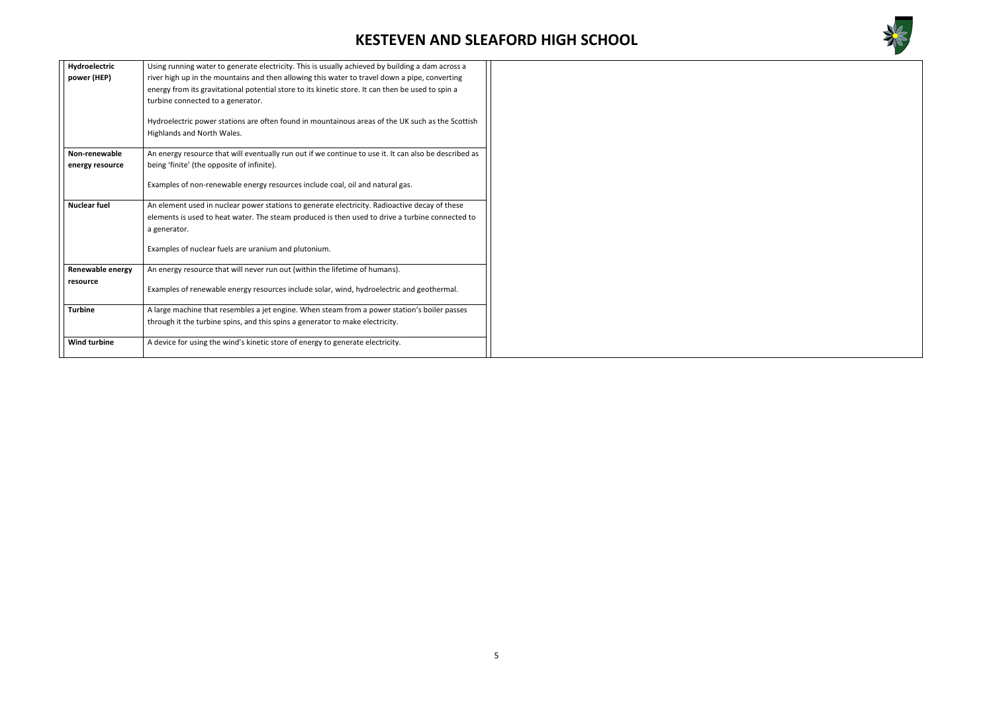

| Hydroelectric<br>power (HEP)        | Using running water to generate electricity. This is usually achieved by building a dam across a<br>river high up in the mountains and then allowing this water to travel down a pipe, converting<br>energy from its gravitational potential store to its kinetic store. It can then be used to spin a<br>turbine connected to a generator.<br>Hydroelectric power stations are often found in mountainous areas of the UK such as the Scottish<br>Highlands and North Wales. |
|-------------------------------------|-------------------------------------------------------------------------------------------------------------------------------------------------------------------------------------------------------------------------------------------------------------------------------------------------------------------------------------------------------------------------------------------------------------------------------------------------------------------------------|
| Non-renewable<br>energy resource    | An energy resource that will eventually run out if we continue to use it. It can also be described as<br>being 'finite' (the opposite of infinite).                                                                                                                                                                                                                                                                                                                           |
|                                     | Examples of non-renewable energy resources include coal, oil and natural gas.                                                                                                                                                                                                                                                                                                                                                                                                 |
| <b>Nuclear fuel</b>                 | An element used in nuclear power stations to generate electricity. Radioactive decay of these<br>elements is used to heat water. The steam produced is then used to drive a turbine connected to<br>a generator.<br>Examples of nuclear fuels are uranium and plutonium.                                                                                                                                                                                                      |
| <b>Renewable energy</b><br>resource | An energy resource that will never run out (within the lifetime of humans).<br>Examples of renewable energy resources include solar, wind, hydroelectric and geothermal.                                                                                                                                                                                                                                                                                                      |
| <b>Turbine</b>                      | A large machine that resembles a jet engine. When steam from a power station's boiler passes<br>through it the turbine spins, and this spins a generator to make electricity.                                                                                                                                                                                                                                                                                                 |
| <b>Wind turbine</b>                 | A device for using the wind's kinetic store of energy to generate electricity.                                                                                                                                                                                                                                                                                                                                                                                                |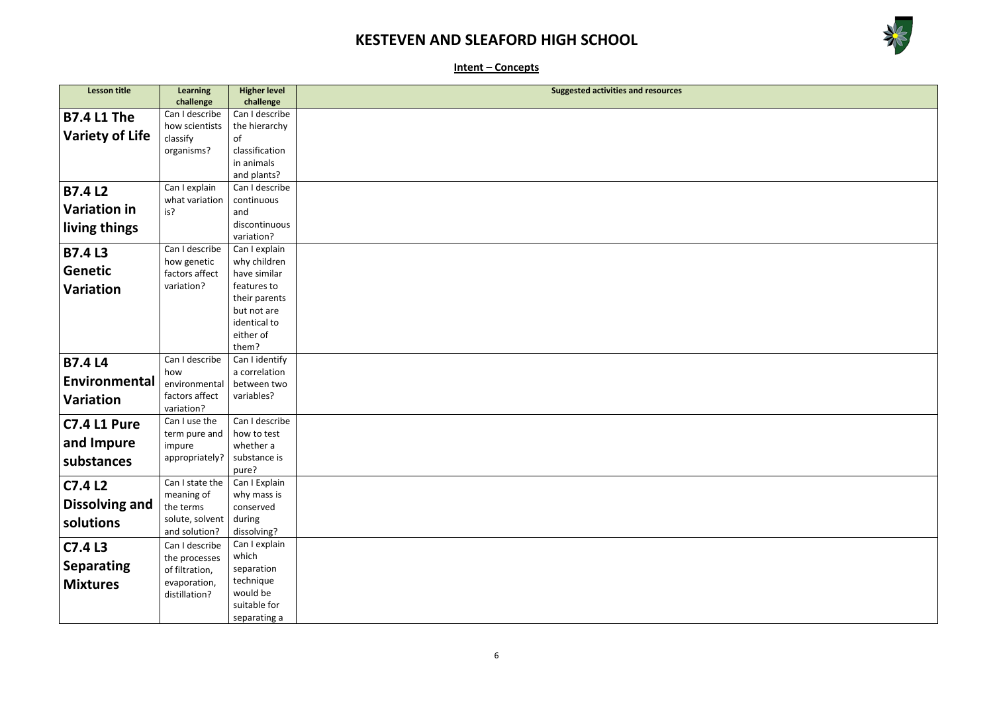

**Intent – Concepts**

| <b>Lesson title</b>    | <b>Learning</b>              | <b>Higher level</b> | <b>Suggested activities and resources</b> |
|------------------------|------------------------------|---------------------|-------------------------------------------|
|                        | challenge                    | challenge           |                                           |
| <b>B7.4 L1 The</b>     | Can I describe               | Can I describe      |                                           |
|                        | how scientists               | the hierarchy       |                                           |
| <b>Variety of Life</b> | classify                     | of                  |                                           |
|                        | organisms?                   | classification      |                                           |
|                        |                              | in animals          |                                           |
|                        |                              | and plants?         |                                           |
| <b>B7.4L2</b>          | Can I explain                | Can I describe      |                                           |
|                        | what variation               | continuous          |                                           |
| <b>Variation in</b>    | is?                          | and                 |                                           |
| living things          |                              | discontinuous       |                                           |
|                        |                              | variation?          |                                           |
| <b>B7.4L3</b>          | Can I describe               | Can I explain       |                                           |
| <b>Genetic</b>         | how genetic                  | why children        |                                           |
|                        | factors affect               | have similar        |                                           |
| <b>Variation</b>       | variation?                   | features to         |                                           |
|                        |                              | their parents       |                                           |
|                        |                              | but not are         |                                           |
|                        |                              | identical to        |                                           |
|                        |                              | either of           |                                           |
|                        |                              | them?               |                                           |
| <b>B7.4 L4</b>         | Can I describe               | Can I identify      |                                           |
| Environmental          | how                          | a correlation       |                                           |
|                        | environmental                | between two         |                                           |
| <b>Variation</b>       | factors affect<br>variation? | variables?          |                                           |
|                        | Can I use the                | Can I describe      |                                           |
| <b>C7.4 L1 Pure</b>    |                              | how to test         |                                           |
| and Impure             | term pure and<br>impure      | whether a           |                                           |
|                        | appropriately?               | substance is        |                                           |
| substances             |                              | pure?               |                                           |
|                        | Can I state the              | Can I Explain       |                                           |
| C7.4 L2                | meaning of                   | why mass is         |                                           |
| <b>Dissolving and</b>  | the terms                    | conserved           |                                           |
|                        | solute, solvent              | during              |                                           |
| solutions              | and solution?                | dissolving?         |                                           |
| C7.4 L3                | Can I describe               | Can I explain       |                                           |
|                        | the processes                | which               |                                           |
| <b>Separating</b>      | of filtration,               | separation          |                                           |
| <b>Mixtures</b>        | evaporation,                 | technique           |                                           |
|                        | distillation?                | would be            |                                           |
|                        |                              | suitable for        |                                           |
|                        |                              | separating a        |                                           |